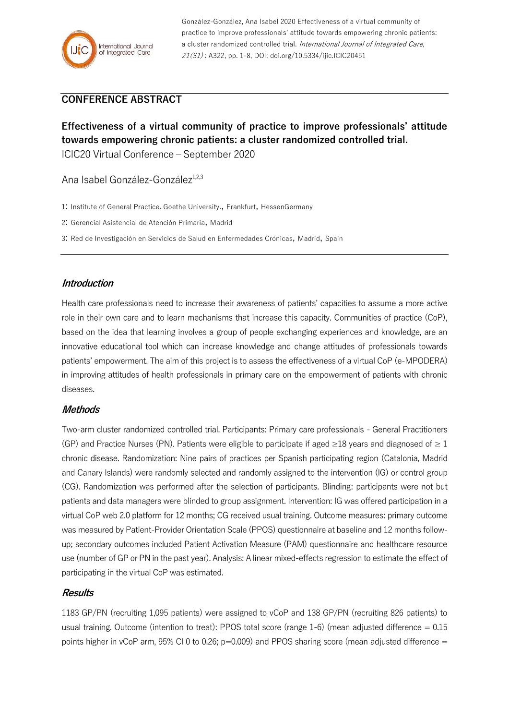

González-González, Ana Isabel 2020 Effectiveness of a virtual community of practice to improve professionals' attitude towards empowering chronic patients: a cluster randomized controlled trial. International Journal of Integrated Care, 21(S1) : A322, pp. 1-8, DOI: doi.org/10.5334/ijic.ICIC20451

# **CONFERENCE ABSTRACT**

**Effectiveness of a virtual community of practice to improve professionals' attitude towards empowering chronic patients: a cluster randomized controlled trial.** ICIC20 Virtual Conference – September 2020

Ana Isabel González-González<sup>1,2,3</sup>

1: Institute of General Practice. Goethe University., Frankfurt, HessenGermany

2: Gerencial Asistencial de Atención Primaria, Madrid

3: Red de Investigación en Servicios de Salud en Enfermedades Crónicas, Madrid, Spain

# **Introduction**

Health care professionals need to increase their awareness of patients' capacities to assume a more active role in their own care and to learn mechanisms that increase this capacity. Communities of practice (CoP), based on the idea that learning involves a group of people exchanging experiences and knowledge, are an innovative educational tool which can increase knowledge and change attitudes of professionals towards patients' empowerment. The aim of this project is to assess the effectiveness of a virtual CoP (e-MPODERA) in improving attitudes of health professionals in primary care on the empowerment of patients with chronic diseases.

#### **Methods**

Two-arm cluster randomized controlled trial. Participants: Primary care professionals - General Practitioners (GP) and Practice Nurses (PN). Patients were eligible to participate if aged  $\geq$ 18 years and diagnosed of  $\geq$  1 chronic disease. Randomization: Nine pairs of practices per Spanish participating region (Catalonia, Madrid and Canary Islands) were randomly selected and randomly assigned to the intervention (IG) or control group (CG). Randomization was performed after the selection of participants. Blinding: participants were not but patients and data managers were blinded to group assignment. Intervention: IG was offered participation in a virtual CoP web 2.0 platform for 12 months; CG received usual training. Outcome measures: primary outcome was measured by Patient-Provider Orientation Scale (PPOS) questionnaire at baseline and 12 months followup; secondary outcomes included Patient Activation Measure (PAM) questionnaire and healthcare resource use (number of GP or PN in the past year). Analysis: A linear mixed-effects regression to estimate the effect of participating in the virtual CoP was estimated.

#### **Results**

1183 GP/PN (recruiting 1,095 patients) were assigned to vCoP and 138 GP/PN (recruiting 826 patients) to usual training. Outcome (intention to treat): PPOS total score (range 1-6) (mean adjusted difference  $= 0.15$ points higher in vCoP arm, 95% CI 0 to 0.26;  $p=0.009$ ) and PPOS sharing score (mean adjusted difference =